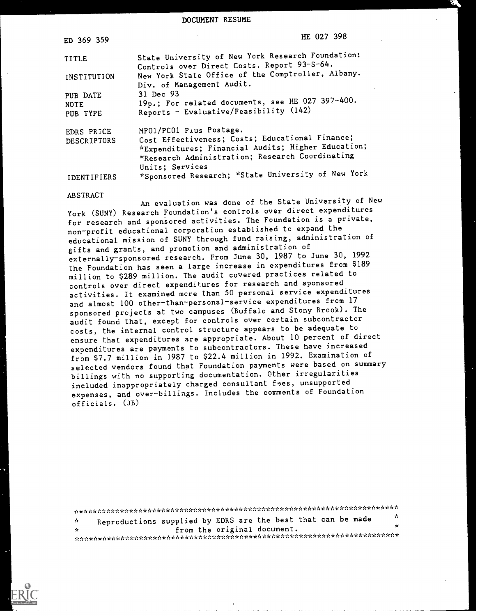DOCUMENT RESUME

| ED 369 359                          | HE 027 398                                                                                                               |
|-------------------------------------|--------------------------------------------------------------------------------------------------------------------------|
| TITLE                               | State University of New York Research Foundation:<br>Controls over Direct Costs. Report 93-S-64.                         |
| INSTITUTION                         | New York State Office of the Comptroller, Albany.<br>Div. of Management Audit.                                           |
| PUB DATE<br><b>NOTE</b><br>PUB TYPE | 31 Dec 93<br>19p.; For related documents, see HE 027 397-400.<br>Reports - Evaluative/Feasibility (142)                  |
| EDRS PRICE<br>DESCRIPTORS           | MF01/PC01 Pius Postage.<br>Cost Effectiveness; Costs; Educational Finance;                                               |
|                                     | *Expenditures; Financial Audits; Higher Education;<br>*Research Administration; Research Coordinating<br>Units; Services |
| IDENTIFIERS                         | *Sponsored Research; *State University of New York                                                                       |

### ABSTRACT

An evaluation was done of the State University of New York (SUN?) Research Foundation's controls over direct expenditures for research and sponsored activities. The Foundation is a private, non-profit educational corporation established to expand the educational mission of SUNY through fund raising, administration of gifts and grants, and promotion and administration of externally-sponsored research. From June 30, 1987 to June 30, 1992 the Foundation has seen a large increase in expenditures from \$189 million to \$289 million. The audit covered practices related to controls over direct expenditures for research and sponsored activities. It examined more than 50 personal service expenditures and almost 100 other-than-personal-service expenditures from 17 sponsored projects at two campuses (Buffalo and Stony Brook). The audit found that, except for controls over certain subcontractor costs, the internal control structure appears to be adequate to ensure that expenditures are appropriate. About 10 percent of direct expenditures are payments to subcontractors. These have increased from \$7.7 million in 1987 to \$22.4 million in 1992. Examination of selected vendors found that Foundation payments were based on summary billings with no supporting documentation. Other irregularities included inappropriately charged consultant fees, unsupported expenses, and over-billings. Includes the comments of Foundation officials. (JB)

Reproductions supplied by EDRS are the best that can be made  $\mathcal{A}$ from the original document.  $\mathbf{r}$ \*\*\*\*\*\*\*\*\*\*\*\*\*\*\*\*\*\*\*\*\*\*\*\*\*\*\*\*\*\*\*\*\*\*\*\*\*\*\*\*\*\*\*\*\*\*\*\*\*\*\*\*\*\*\*\*\*\*\*\*\*\*\*\*\*\*\*\*\*\*\*

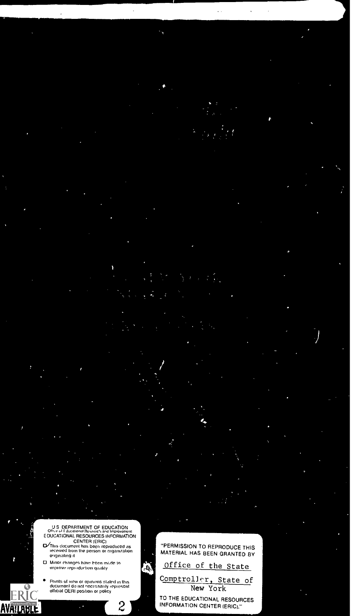# US DEPARTMENT OF EDUCATION<br>
CULTURE COURCES INFORMATION<br>
CENTER (ERIC)<br>
CENTER (ERIC)<br>
CENTER (ERIC)<br>
CENTER (ERIC)<br>
This document has been reproduced as<br>
received from the person or organization<br>
orginating it

- 
- $\square$  Minor changes have been mr.de to  $\square$  improve reproduction quality

 $\mathbf{r}$  and  $\mathbf{r}$ 

AVAILABLI

 $\bullet$ Points of view or opinons stated in this documont do not nocessailly iepresent official OERI position or policy

"PERMISSION TO REPRODUCE THIS MATERIAL HAS BEEN GRANTED BY Office of the State Comptroller, State of

.a

ß,

2 **INFORMATION CENTER (ERIC).** New York TO THE EDUCATIONAL RESOURCES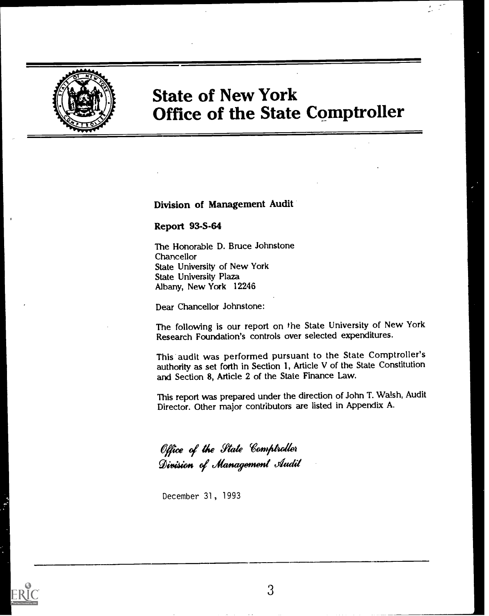

### State of New York Office of the State Comptroller

Division of Management Audit

### Report 93-S-64

The Honorable D. Bruce Johnstone Chancellor State University of New York State University Plaza Albany, New York 12246

Dear Chancellor Johnstone:

The following is our report on the State University of New York Research Foundation's controls over selected expenditures.

This audit was performed pursuant to the State Comptroller's authority as set forth in Section 1, Article V of the State Constitution and Section 8, Article 2 of the State Finance Law.

This report was prepared under the direction of John T. Walsh, Audit Director. Other major contributors are listed in Appendix A.

Office of the State Comptroller Division of Management Audit

December 31, 1993

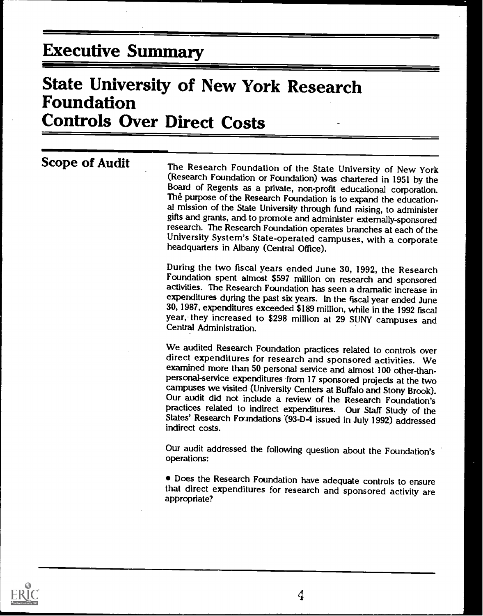### Executive Summary

### State University of New York Research Foundation Controls Over Direct Costs

Scope of Audit The Research Foundation of the State University of New York<br>(Research Foundation or Foundation) was chartered in 1951 by the Board of Regents as a private, non-profit educational corporation.<br>The purpose of the Research Foundation is to expand the education-<br>al mission of the State University through fund raising, to administer<br>gifts and grants, research. The Research Foundation operates branches at each of the University System's State-operated campuses, with a corporate headquarters in Albany (Central Office).

During the two fiscal years ended June 30, 1992, the Research Foundation spent almost \$597 million on research and sponsored activities. The Research Foundation has seen a dramatic increase in 30, 1987, expenditures exceeded \$189 million, while in the 1992 fiscal year, they increased to \$298 million at 29 SUNY campuses and Central Administration.

We audited Research Foundation practices related to controls over direct expenditures for research and sponsored activities. We examined more than 50 personal service and almost 100 other-thanpersonal-service expenditures from 17 sponsored projects at the two Our audit did not include a review of the Research Foundation's<br>practices related to indirect expenditures. Our Staff Study of the States' Research Foundations (93-D-4 issued in July 1992) addressed indirect costs.

Our audit addressed the following question about the Foundation's operations:

Does the Research Foundation have adequate controls to ensure that direct expenditures for research and sponsored activity are appropriate?

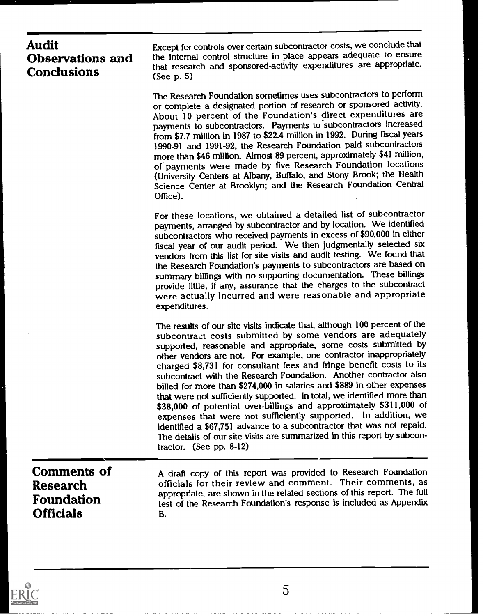### Audit Observations and **Conclusions**

Except for controls over certain subcontractor costs, we conclude that the internal control structure in place appears adequate to ensure that research and sponsored-activity expenditures are appropriate. (See p. 5)

The Research Foundation sometimes uses subcontractors to perform or complete a designated portion of research or sponsored activity. About 10 percent of the Foundation's direct expenditures are payments to subcontractors. Payments to subcontractors increased from \$7.7 million in 1987 to \$22.4 million in 1992. During fiscal years 1990-91 and 1991-92, the Research Foundation paid subcontractors more than \$46 million. Almost 89 percent, approximately \$41 million, of payments were made by five Research Foundation locations (University Centers at Albany, Buffalo, and Stony Brook; the Health Science Center at Brooklyn; and the Research Foundation Central Office).

For these locations, we obtained a detailed list of subcontractor payments, arranged by subcontractor and by location. We identified subcontractors who received payments in excess of \$90,000 in either fiscal year of our audit period. We then judgmentally selected six vendors from this list for site visits and audit testing. We found that the Research Foundation's payments to subcontractors are based on summary billings with no supporting documentation. These billings provide little, if any, assurance that the charges to the subcontract were actually incurred and were reasonable and appropriate expenditures.

The results of our site visits indicate that, although 100 percent of the subcontract costs submitted by some vendors are adequately supported, reasonable and appropriate, some costs submitted by other vendors are not. For example, one contractor inappropriately charged \$8,731 for consultant fees and fringe benefit costs to its subcontract with the Research Foundation. Another contractor also billed for more than \$274,000 in salaries and \$889 in other expenses that were not sufficiently supported. In total, we identified more than \$38,000 of potential over-billings and approximately \$311,000 of expenses that were not sufficiently supported. In addition, we identified a \$67,751 advance to a subcontractor that was not repaid. The details of our site visits are summarized in this report by subcontractor. (See pp. 8-12)

Comments of Research Foundation **Officials** 

A draft copy of this report was provided to Research Foundation officials for their review and comment. Their comments, as appropriate, are shown in the related sections of this report. The full test of the Research Foundation's response is included as Appendix B.

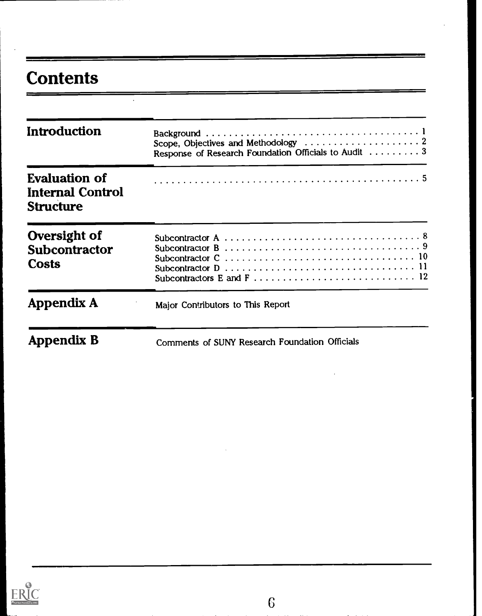## **Contents**

| Introduction                                                 | Scope, Objectives and Methodology $\dots\dots\dots\dots\dots\dots\dots$<br>Response of Research Foundation Officials to Audit 3 |
|--------------------------------------------------------------|---------------------------------------------------------------------------------------------------------------------------------|
| <b>Evaluation of</b><br>Internal Control<br><b>Structure</b> |                                                                                                                                 |
| Oversight of<br>Subcontractor<br><b>Costs</b>                |                                                                                                                                 |
| Appendix A                                                   | Major Contributors to This Report                                                                                               |
| Appendix B                                                   | Comments of SUNY Research Foundation Officials                                                                                  |

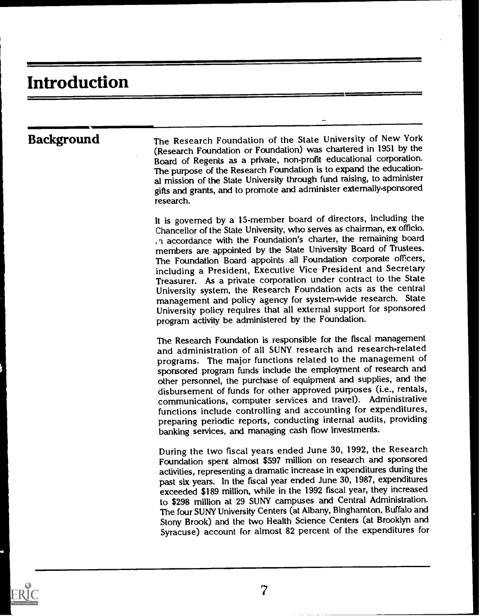## Introduction

Background The Research Foundation of the State University of New York (Research Foundation or Foundation) was chartered in 1951 by the Board of Regents as a private, non-profit educational corporation. The purpose of the Research Foundation is to expand the educational mission of the State University through fund raising, to administer gifts and grants, and to promote and administer externally-sponsored research.

> It is governed by a 15-member board of directors, including the Chancellor of the State University, who serves as chairman, ex officio. accordance with the Foundation's charter, the remaining board members are appointed by the State University Board of Trustees. The Foundation Board appoints all Foundation corporate officers, including a President, Executive Vice President and Secretary Treasurer. As a private corporation under contract to the State University system, the Research Foundation acts as the central management and policy agency for system-wide research. State University policy requires that all external support for sponsored program activity be administered by the Foundation.

> The Research Foundation is responsible for the fiscal management and administration of all SUNY research and research-related programs. The major functions related to the management of sponsored program funds include the employment of research and other personnel, the purchase of equipment and supplies, and the disbursement of funds for other approved purposes (i.e., rentals, communications, computer services and travel). Administrative functions include controlling and accounting for expenditures, preparing periodic reports, conducting internal audits, providing banking services, and managing cash flow investments.

> During the two fiscal years ended June 30, 1992, the Research Foundation spent almost \$597 million on research and sponsored activities, representing a dramatic increase in expenditures during the past six years. In the fiscal year ended June 30, 1987, expenditures exceeded \$189 million, while in the 1992 fiscal year, they increased to \$298 million at 29 SUNY campuses and Central Administration. The four SUNY University Centers (at Albany, Binghamton, Buffalo and Stony Brook) and the two Health Science Centers (at Brooklyn and Syracuse) account for almost 82 percent of the expenditures for

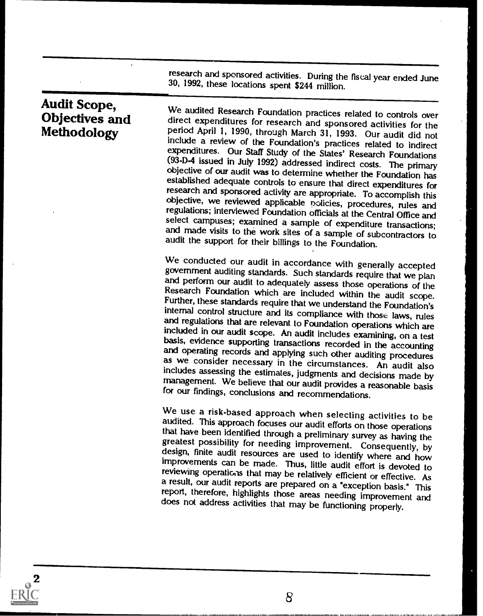research and sponsored activities. During the fiscal year ended June 30, 1992, these locations spent \$244 million.

# Audit Scope, Methodology

Auture Judge, We audited Research Foundation practices related to controls over<br> **Objectives and** direct expenditures for research and sponsored activities for the<br> **Methodology** Period April 1, 1990, through March 31, 199 include a review of the Foundation's practices related to indirect expenditures. Our Staff Study of the States' Research Foundations<br>(93-D-4 issued in July 1992) addressed indirect costs. The primary objective of our audit was to determine whether the Foundation has<br>established adequate controls to ensure that direct expenditures for<br>research and sponsored activity are appropriate. To accomplish this<br>objective, we revi

We conducted our audit in accordance with generally accepted<br>government auditing standards. Such standards require that we plan<br>and perform our audit to adequately assess those operations of the<br>Research Foundation which a

We use a risk-based approach when selecting activities to be<br>audited. This approach focuses our audit efforts on those operations<br>that have been identified through a preliminary survey as having the<br>greatest possibility fo

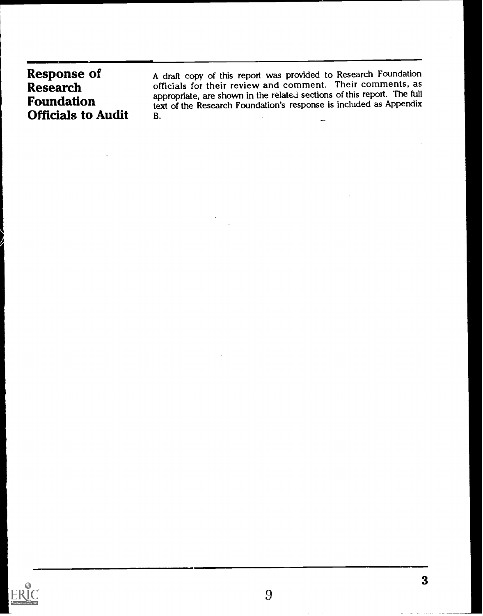| <b>Response of</b>                                                | A draft copy of this report was provided to Research Foundation                                                                                                                                                            |
|-------------------------------------------------------------------|----------------------------------------------------------------------------------------------------------------------------------------------------------------------------------------------------------------------------|
| <b>Research</b><br><b>Foundation</b><br><b>Officials to Audit</b> | officials for their review and comment. Their comments, as<br>appropriate, are shown in the related sections of this report. The full<br>text of the Research Foundation's response is included as Appendix<br>В.<br>$- -$ |

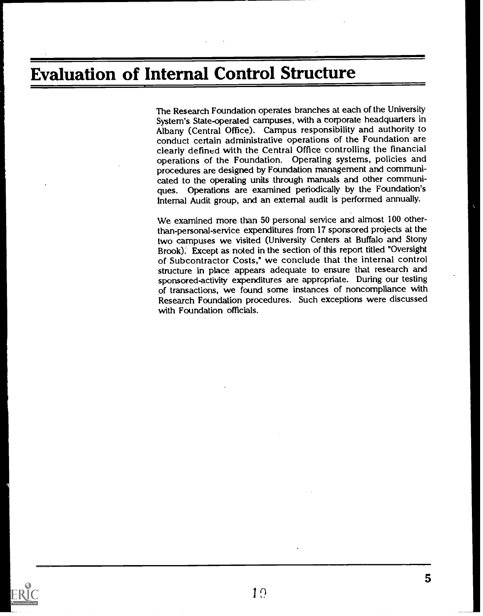### Evaluation of Internal Control Structure

The Research Foundation operates branches at each of the University System's State-operated campuses, with a corporate headquarters in Albany (Central Office). Campus responsibility and authority to conduct certain administrative operations of the Foundation are clearly defined with the Central Office controlling the financial operations of the Foundation. Operating systems, policies and procedures are designed by Foundation management and communicated to the operating units through manuals and other communiques. Operations are examined periodically by the Foundation's Internal Audit group, and an external audit is performed annually.

We examined more than 50 personal service and almost 100 otherthan-personal-service expenditures from 17 sponsored projects at the two campuses we visited (University Centers at Buffalo and Stony Brook). Except as noted in the section of this report titled "Oversight of Subcontractor Costs," we conclude that the internal control structure in place appears adequate to ensure that research and sponsored-activity expenditures are appropriate. During our testing of transactions, we found some instances of noncompliance with Research Foundation procedures. Such exceptions were discussed with Foundation officials.

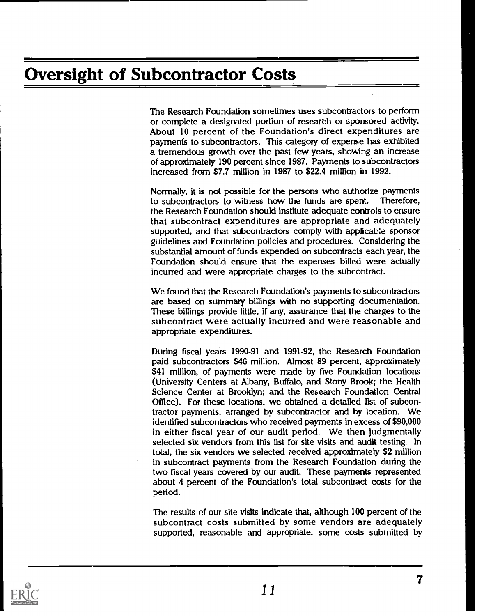### Oversight of Subcontractor Costs

The Research Foundation sometimes uses subcontractors to perform or complete a designated portion of research or sponsored activity. About 10 percent of the Foundation's direct expenditures are payments to subcontractors. This category of expense has exhibited a tremendous growth over the past few years, showing an increase of approximately 190 percent since 1987. Payments to subcontractors increased from \$7.7 million in 1987 to \$22.4 million in 1992.

Normally, it is not possible for the persons who authorize payments<br>to subcontractors to witness how the funds are spent. Therefore, to subcontractors to witness how the funds are spent. the Research Foundation should institute adequate controls to ensure that subcontract expenditures are appropriate and adequately supported, and that subcontractors comply with applicable sponsor guidelines and Foundation policies and procedures. Considering the substantial amount of funds expended on subcontracts each year, the Foundation should ensure that the expenses billed were actually incurred and were appropriate charges to the subcontract.

We found that the Research Foundation's payments to subcontractors are based on summary billings with no supporting documentation. These billings provide little, if any, assurance that the charges to the subcontract were actually incurred and were reasonable and appropriate expenditures.

During fiscal years 1990-91 and 1991-92, the Research Foundation paid subcontractors \$46 million. Almost 89 percent, approximately \$41 million, of payments were made by five Foundation locations (University Centers at Albany, Buffalo, and Stony Brook; the Health Science Center at Brooklyn; and the Research Foundation Central Office). For these locations, we obtained a detailed list of subcontractor payments, arranged by subcontractor and by location. We identified subcontractors who received payments in excess of \$90,000 in either fiscal year of our audit period. We then judgmentally selected six vendors from this list for site visits and audit testing. In total, the six vendors we selected received approximately \$2 million in subcontract payments from the Research Foundation during the two fiscal years covered by our audit. These payments represented about 4 percent of the Foundation's total subcontract costs for the period.

The results of our site visits indicate that, although 100 percent of the subcontract costs submitted by some vendors are adequately supported, reasonable and appropriate, some costs submitted by

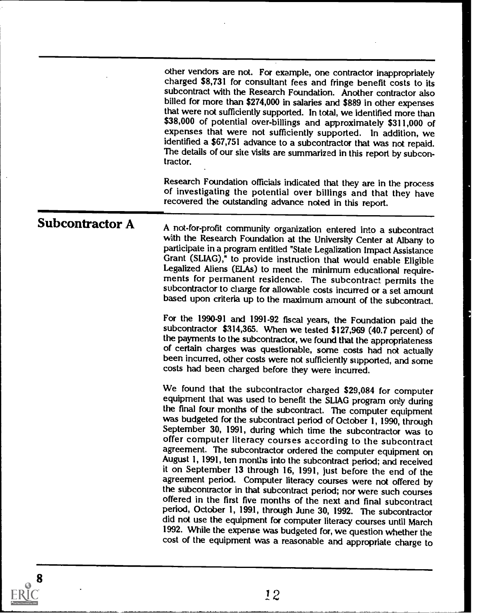other vendors are not. For example, one contractor inappropriately charged \$8,731 for consultant fees and fringe benefit costs to its subcontract with the Research Foundation. Another contractor also billed for more than \$274,000 in salaries and \$889 in other expenses that were not sufficiently supported. In total, we identified more than \$38,000 of potential over-billings and approximately \$311,000 of expenses that were not sufficiently supported. In addition, we identified a \$67,751 advance to a subcontractor that was not repaid. The details of our site visits are summarized in this report by subcontractor.

Research Foundation officials indicated that they are in the process of investigating the potential over billings and that they have recovered the outstanding advance noted in this report.

Subcontractor A A not-for-profit community organization entered into a subcontract with the Research Foundation at the University Center at Albany to participate in a program entitled "State Legalization Impact Assistance Legalized Aliens (ELAs) to meet the minimum educational require-<br>ments for permanent residence. The subcontract permits the subcontractor to charge for allowable costs incurred or a set amount based upon criteria up to the maximum amount of the subcontract.

> For the 1990-91 and 1991-92 fiscal years, the Foundation paid the subcontractor \$314,365. When we tested \$127,969 (40.7 percent) of the payments to the subcontractor, we found that the appropriateness of certain charges was questionable, some costs had not actually been incurred, other costs were not sufficiently supported, and some costs had been charged before they were incurred.

> We found that the subcontractor charged \$29,084 for computer equipment that was used to benefit the SLIAG program only during the final four months of the subcontract. The computer equipment was budgeted for the subcontract period of October 1, 1990, through September 30, 1991, during which time the subcontractor was to offer computer literacy courses according to the subcontract agreement. The subcontractor ordered the computer equipment on August 1, 1991, ten months into the subcontract period; and received it on September 13 through 16, 1991, just before the end of the agreement period. Computer literacy courses were not offered by the subcontractor in that subcontract period; nor were such courses offered in the first five months of the next and final subcontract period, October 1, 1991, through June 30, 1992. The subcontractor did not use the equipment for computer literacy courses until March<br>1992. While the expense was budgeted for, we question whether the cost of the equipment was a reasonable and appropriate charge to

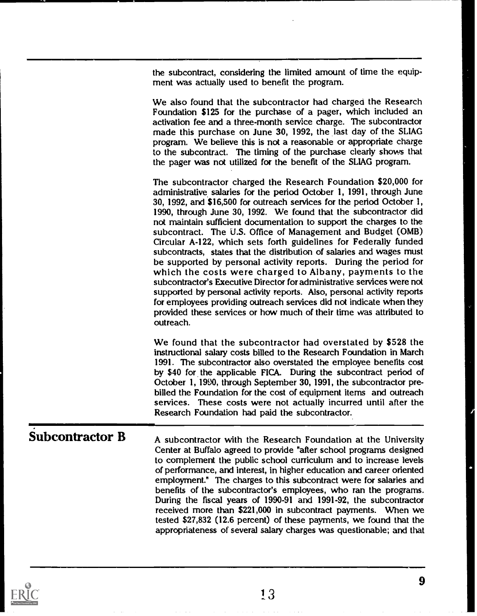the subcontract, considering the limited amount of time the equipment was actually used to benefit the program.

We also found that the subcontractor had chargea the Research Foundation \$125 for the purchase of a pager, which included an activation fee and a three-month service charge. The subcontractor made this purchase on June 30, 1992, the last day of the SLIAG program. We believe this is not a reasonable or appropriate charge to the subcontract. The timing of the purchase clearly shows that the pager was not utilized for the benefit of the SLIAG program.

The subcontractor charged the Research Foundation \$20,000 for administrative salaries for the period October 1, 1991, through June 30, 1992, and \$16,500 for outreach services for the period October I, 1990, through June 30, 1992. We found that the subcontractor did not maintain sufficient documentation to support the charges to the subcontract. The U.S. Office of Management and Budget (OMB) Circular A-122, which sets forth guidelines for Federally funded subcontracts, states that the distribution of salaries and wages must be supported by personal activity reports. During the period for which the costs were charged to Albany, payments to the subcontractor's Executive Director for administrative services were not supported by personal activity reports. Also, personal activity reports for employees providing outreach services did not indicate when they provided these services or how much of their time was attributed to outreach.

We found that the subcontractor had overstated by \$528 the instructional salary costs billed to the Research Foundation in March 1991. The subcontractor also overstated the employee benefits cost by \$40 for the applicable FICA. During the subcontract period of October 1, 1990, through September 30, 1991, the subcontractor prebilled the Foundation for the cost of equipment items and outreach services. These costs were not actually incurred until after the Research Foundation had paid the subcontractor.

**Subcontractor B** A subcontractor with the Research Foundation at the University Center at Buffalo agreed to provide "after school programs designed to complement the public school curriculum and to increase levels of performance, and interest, in higher education and career oriented employment." The charges to this subcontract were for salaries and benefits of the subcontractor's employees, who ran the programs. During the fiscal years of 1990-91 and 1991-92, the subcontractor received more than \$221,000 in subcontract payments. When we tested \$27,832 (12.6 percent) of these payments, we found that the appropriateness of several salary charges was questionable; and that

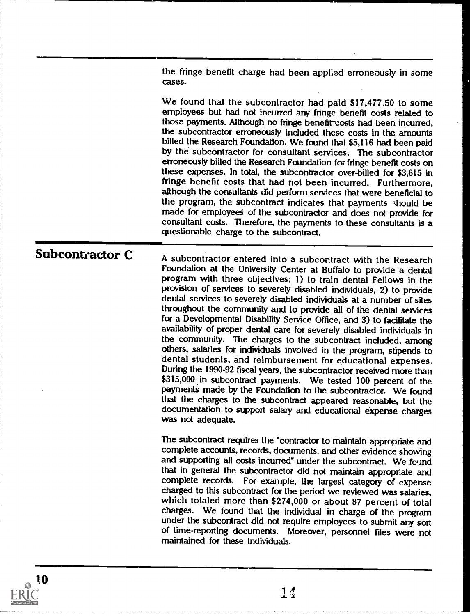the fringe benefit charge had been applied erroneously in some cases.

We found that the subcontractor had paid \$17,477.50 to some employees but had not incurred any fringe benefit costs related to those payments. Although no fringe benefit-costs had been incurred, the subcontractor erroneously included these costs in the amounts billed the Research Foundation. We found that \$5,116 had been paid by the subcontractor for consultant services. The subcontractor erroneously billed the Research Foundation for fringe benefit costs on these expenses. In total, the subcontractor over-billed for \$3,615 in fringe benefit costs that had not been incurred. Furthermore, although the consultants did perform services that were beneficial to the program, the subcontract indicates that payments should be made for employees of the subcontractor and does not provide for consultant costs. Therefore, the payments to these consultants is a questionable charge to the subcontract.

Subcontractor C A subcontractor entered into a subcontract with the Research Foundation at the University Center at Buffalo to provide a dental program with three objectives; 1) to train dental Fellows in the provision of services to severely disabled individuals, 2) to provide dental services to severely disabled individuals at a number of sites throughout the community and to provide all of the dental services for a Developmental Disability Service Office, and 3) to facilitate the availability of proper dental care for severely disabled individuals in the community. The charges to the subcontract included, among others, salaries for individuals involved in the program, stipends to dental students, and reimbursement for educational expenses. During the 1990-92 fiscal years, the subcontractor received more than \$315,000 in subcontract payments. We tested 100 percent of the payments made by the Foundation to the subcontractor. We found that the charges to the subcontract appeared reasonable, but the documentation to support salary and educational expense charges was not adequate.

> The subcontract requires the "contractor to maintain appropriate and complete accounts, records, documents, and other evidence showing and supporting all costs incurred" under the subcontract. We found that in general the subcontractor did not maintain appropriate and complete records. For example, the largest category of expense charged to this subcontract for the period we reviewed was salaries, which totaled more than \$274,000 or about 87 percent of total charges. We found that the individual in charge of the program of time-reporting documents. Moreover, personnel files were not maintained for these individuals.

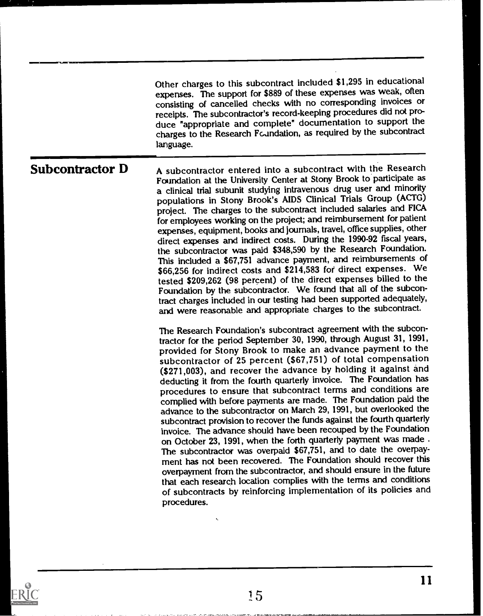|                 | Other charges to this subcontract included \$1,295 in educational<br>expenses. The support for \$889 of these expenses was weak, often<br>consisting of cancelled checks with no corresponding invoices or<br>receipts. The subcontractor's record-keeping procedures did not pro-<br>duce "appropriate and complete" documentation to support the<br>charges to the Research Fcundation, as required by the subcontract<br>language.                                                                                                                                                                                                                                                                                                                                                                                                                                                                                                                                                                                                                                                                                                                                                                               |
|-----------------|---------------------------------------------------------------------------------------------------------------------------------------------------------------------------------------------------------------------------------------------------------------------------------------------------------------------------------------------------------------------------------------------------------------------------------------------------------------------------------------------------------------------------------------------------------------------------------------------------------------------------------------------------------------------------------------------------------------------------------------------------------------------------------------------------------------------------------------------------------------------------------------------------------------------------------------------------------------------------------------------------------------------------------------------------------------------------------------------------------------------------------------------------------------------------------------------------------------------|
| Subcontractor D | A subcontractor entered into a subcontract with the Research<br>Foundation at the University Center at Stony Brook to participate as<br>a clinical trial subunit studying intravenous drug user and minority<br>populations in Stony Brook's AIDS Clinical Trials Group (ACTG)<br>project. The charges to the subcontract included salaries and FICA<br>for employees working on the project; and reimbursement for patient<br>expenses, equipment, books and journals, travel, office supplies, other<br>direct expenses and indirect costs. During the 1990-92 fiscal years,<br>the subcontractor was paid \$348,590 by the Research Foundation.<br>This included a \$67,751 advance payment, and reimbursements of<br>\$66,256 for indirect costs and \$214,583 for direct expenses. We<br>tested \$209,262 (98 percent) of the direct expenses billed to the<br>Foundation by the subcontractor. We found that all of the subcon-<br>tract charges included in our testing had been supported adequately,<br>and were reasonable and appropriate charges to the subcontract.                                                                                                                                    |
|                 | The Research Foundation's subcontract agreement with the subcon-<br>tractor for the period September 30, 1990, through August 31, 1991,<br>provided for Stony Brook to make an advance payment to the<br>subcontractor of 25 percent (\$67,751) of total compensation<br>(\$271,003), and recover the advance by holding it against and<br>deducting it from the fourth quarterly invoice. The Foundation has<br>procedures to ensure that subcontract terms and conditions are<br>complied with before payments are made. The Foundation paid the<br>advance to the subcontractor on March 29, 1991, but overlooked the<br>subcontract provision to recover the funds against the fourth quarterly<br>invoice. The advance should have been recouped by the Foundation<br>on October 23, 1991, when the forth quarterly payment was made.<br>The subcontractor was overpaid \$67,751, and to date the overpay-<br>ment has not been recovered. The Foundation should recover this<br>overpayment from the subcontractor, and should ensure in the future<br>that each research location complies with the terms and conditions<br>of subcontracts by reinforcing implementation of its policies and<br>procedures. |



÷.

 $\ddot{\phantom{0}}$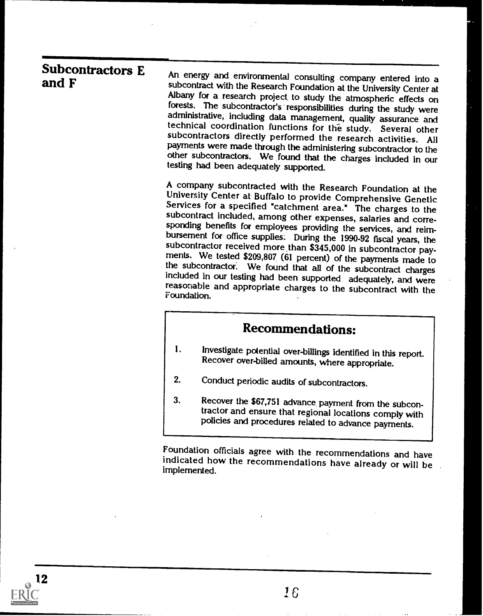| <b>Subcontractors E</b><br>and F | An energy and environmental consulting company entered into a<br>subcontract with the Research Foundation at the University Center at<br>Albany for a research project to study the atmospheric effects on<br>forests. The subcontractor's responsibilities during the study were<br>administrative, including data management, quality assurance and<br>technical coordination functions for the study. Several other<br>subcontractors directly performed the research activities. All<br>payments were made through the administering subcontractor to the<br>other subcontractors. We found that the charges included in our<br>testing had been adequately supported. |
|----------------------------------|----------------------------------------------------------------------------------------------------------------------------------------------------------------------------------------------------------------------------------------------------------------------------------------------------------------------------------------------------------------------------------------------------------------------------------------------------------------------------------------------------------------------------------------------------------------------------------------------------------------------------------------------------------------------------|
|                                  | A company subcontracted with the Research Foundation at the<br>University Center at Buffalo to provide Comprehensive Genetic<br>Services for a specified "catchment area." The charges to the<br>subcontract included, among other expenses, salaries and corre-<br>sponding benefits for employees providing the services, and reim-<br>bursement for office supplies. During the 1990-92 fiscal years, the<br>subcontractor received more than \$345,000 in subcontractor pay-<br>ments. We tested \$209,807 (61 percent) of the payments made to                                                                                                                        |
|                                  | the subcontractor. We found that all of the subcontract charges<br>included in our testing had been supported adequately, and were<br>reasonable and appropriate charges to the subcontract with the<br>Foundation.                                                                                                                                                                                                                                                                                                                                                                                                                                                        |
|                                  | <b>Recommendations:</b>                                                                                                                                                                                                                                                                                                                                                                                                                                                                                                                                                                                                                                                    |
|                                  | 1.<br>Investigate potential over-billings identified in this report.<br>Recover over-billed amounts, where appropriate.                                                                                                                                                                                                                                                                                                                                                                                                                                                                                                                                                    |
|                                  | 2.<br>Conduct periodic audits of subcontractors.                                                                                                                                                                                                                                                                                                                                                                                                                                                                                                                                                                                                                           |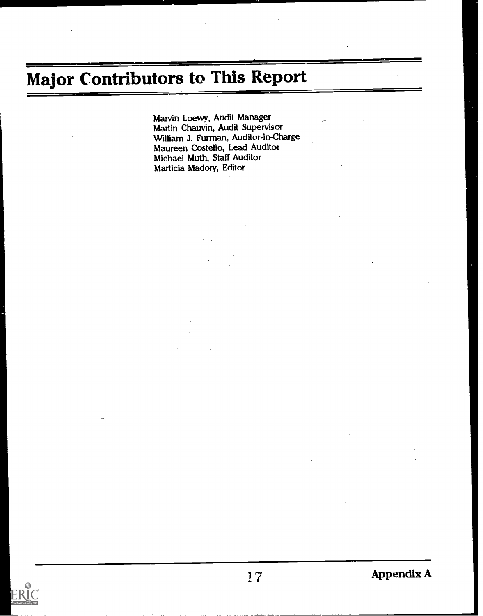# Major Contributors to This Report

Marvin Loewy, Audit Manager Martin Chauvin, Audit Supervisor William J. Furman, Auditor-in-Charge Maureen Costello, Lead Auditor Michael Muth, Staff Auditor Marticia Madoty, Editor

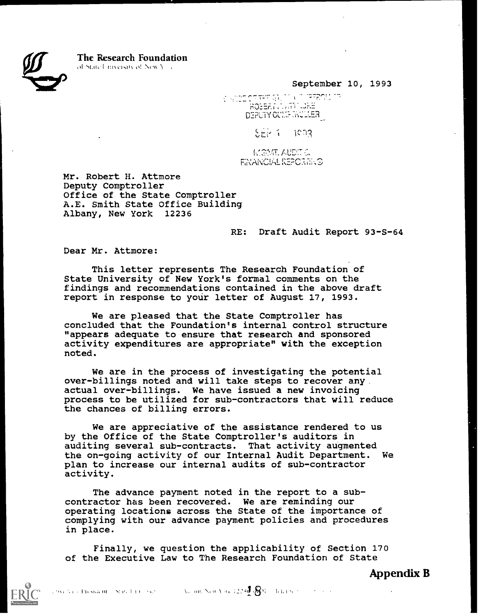$\sum_{i=1}^n$ 

The Research Foundation

of State University of New York.

September 10, 1993

**DEPUTY COMPUTACINE** 

 $5 - 1$ ca3

**AUDIT & RICHANGIAL REPORTED** 

Mr. Robert H. Attmore Deputy Comptroller Office of the State Comptroller A.E. Smith State Office Building Albany, New York 12236

RE: Draft Audit Report 93-S-64

Dear Mr. Attmore:

This letter represents The Research Foundation of State University of New York's formal comments on the findings and recommendations contained in the above draft report in response to your letter of August 17, 1993.

We are pleased that the State Comptroller has concluded that the Foundation's internal control structure "appears adequate to ensure that research and sponsored activity expenditures are appropriate" with the exception noted.

We are in the process of investigating the potential over-billings noted and will take steps to recover any. actual over-billings. We have issued a new invoicing process to be utilized for sub-contractors that will reduce the chances of billing errors.

We are appreciative of the assistance rendered to us by the Office of the State Comptroller's auditors in auditing several sub-contracts. That activity augmented the on-going activity of our Internal Audit Department. We plan to increase our internal audits of sub-contractor activity.

The advance payment noted in the report to a subcontractor has been recovered. We are reminding our operating locations across the State of the importance of complying with our advance payment policies and procedures in place.

Finally, we question the applicability of Section 170 of the Executive Law to The Research Foundation of State